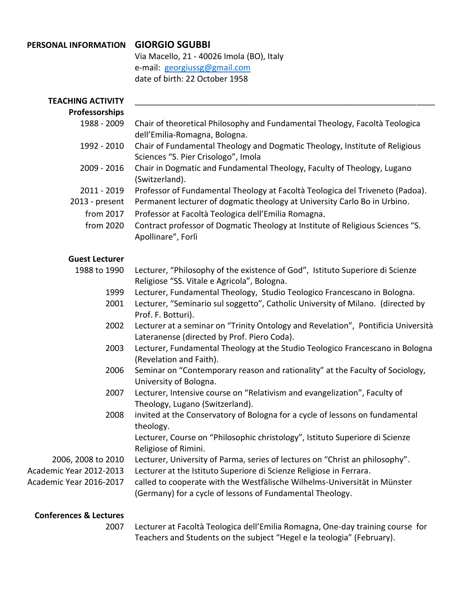## **PERSONAL INFORMATION GIORGIO SGUBBI**

Via Macello, 21 - 40026 Imola (BO), Italy e-mail: [georgiussg@gmail.com](mailto:georgiussg@gmail.com) date of birth: 22 October 1958

| <b>TEACHING ACTIVITY</b>          |                                                                                                                                        |
|-----------------------------------|----------------------------------------------------------------------------------------------------------------------------------------|
| Professorships                    |                                                                                                                                        |
| 1988 - 2009                       | Chair of theoretical Philosophy and Fundamental Theology, Facoltà Teologica<br>dell'Emilia-Romagna, Bologna.                           |
| 1992 - 2010                       | Chair of Fundamental Theology and Dogmatic Theology, Institute of Religious<br>Sciences "S. Pier Crisologo", Imola                     |
| 2009 - 2016                       | Chair in Dogmatic and Fundamental Theology, Faculty of Theology, Lugano<br>(Switzerland).                                              |
| 2011 - 2019                       | Professor of Fundamental Theology at Facoltà Teologica del Triveneto (Padoa).                                                          |
| 2013 - present                    | Permanent lecturer of dogmatic theology at University Carlo Bo in Urbino.                                                              |
| from 2017                         | Professor at Facoltà Teologica dell'Emilia Romagna.                                                                                    |
| from 2020                         | Contract professor of Dogmatic Theology at Institute of Religious Sciences "S.<br>Apollinare", Forlì                                   |
| <b>Guest Lecturer</b>             |                                                                                                                                        |
| 1988 to 1990                      | Lecturer, "Philosophy of the existence of God", Istituto Superiore di Scienze<br>Religiose "SS. Vitale e Agricola", Bologna.           |
| 1999                              | Lecturer, Fundamental Theology, Studio Teologico Francescano in Bologna.                                                               |
| 2001                              | Lecturer, "Seminario sul soggetto", Catholic University of Milano. (directed by<br>Prof. F. Botturi).                                  |
| 2002                              | Lecturer at a seminar on "Trinity Ontology and Revelation", Pontificia Università<br>Lateranense (directed by Prof. Piero Coda).       |
| 2003                              | Lecturer, Fundamental Theology at the Studio Teologico Francescano in Bologna<br>(Revelation and Faith).                               |
| 2006                              | Seminar on "Contemporary reason and rationality" at the Faculty of Sociology,<br>University of Bologna.                                |
| 2007                              | Lecturer, Intensive course on "Relativism and evangelization", Faculty of<br>Theology, Lugano (Switzerland).                           |
| 2008                              | invited at the Conservatory of Bologna for a cycle of lessons on fundamental<br>theology.                                              |
|                                   | Lecturer, Course on "Philosophic christology", Istituto Superiore di Scienze<br>Religiose of Rimini.                                   |
| 2006, 2008 to 2010                | Lecturer, University of Parma, series of lectures on "Christ an philosophy".                                                           |
| Academic Year 2012-2013           | Lecturer at the Istituto Superiore di Scienze Religiose in Ferrara.                                                                    |
| Academic Year 2016-2017           | called to cooperate with the Westfälische Wilhelms-Universität in Münster<br>(Germany) for a cycle of lessons of Fundamental Theology. |
| <b>Conferences &amp; Lectures</b> |                                                                                                                                        |
|                                   | user of Encoltà Teologica dell'Emilia Demograp One doutroining course                                                                  |

2007 Lecturer at Facoltà Teologica dell'Emilia Romagna, One-day training course for Teachers and Students on the subject "Hegel e la teologia" (February).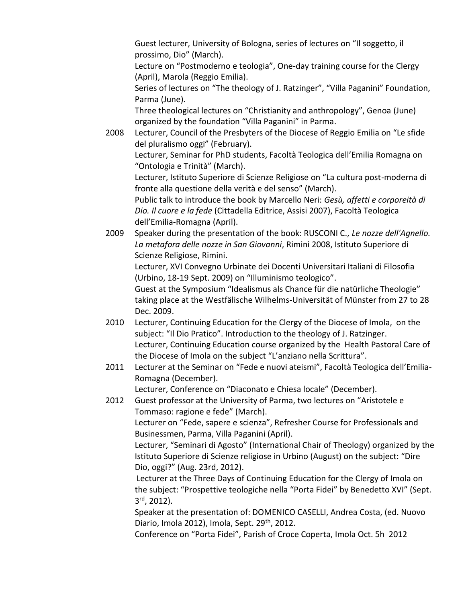Guest lecturer, University of Bologna, series of lectures on "Il soggetto, il prossimo, Dio" (March).

Lecture on "Postmoderno e teologia", One-day training course for the Clergy (April), Marola (Reggio Emilia).

Series of lectures on "The theology of J. Ratzinger", "Villa Paganini" Foundation, Parma (June).

Three theological lectures on "Christianity and anthropology", Genoa (June) organized by the foundation "Villa Paganini" in Parma.

2008 Lecturer, Council of the Presbyters of the Diocese of Reggio Emilia on "Le sfide del pluralismo oggi" (February).

Lecturer, Seminar for PhD students, Facoltà Teologica dell'Emilia Romagna on "Ontologia e Trinità" (March).

Lecturer, Istituto Superiore di Scienze Religiose on "La cultura post-moderna di fronte alla questione della verità e del senso" (March).

Public talk to introduce the book by Marcello Neri: *Gesù, affetti e corporeità di Dio. Il cuore e la fede* (Cittadella Editrice, Assisi 2007), Facoltà Teologica dell'Emilia-Romagna (April).

2009 Speaker during the presentation of the book: RUSCONI C., *Le nozze dell'Agnello. La metafora delle nozze in San Giovanni*, Rimini 2008, Istituto Superiore di Scienze Religiose, Rimini. Lecturer, XVI Convegno Urbinate dei Docenti Universitari Italiani di Filosofia

(Urbino, 18-19 Sept. 2009) on "Illuminismo teologico". Guest at the Symposium "Idealismus als Chance für die natürliche Theologie"

taking place at the Westfälische Wilhelms-Universität of Münster from 27 to 28 Dec. 2009.

- 2010 Lecturer, Continuing Education for the Clergy of the Diocese of Imola, on the subject: "Il Dio Pratico". Introduction to the theology of J. Ratzinger. Lecturer, Continuing Education course organized by the Health Pastoral Care of the Diocese of Imola on the subject "L'anziano nella Scrittura".
- 2011 Lecturer at the Seminar on "Fede e nuovi ateismi", Facoltà Teologica dell'Emilia-Romagna (December).

Lecturer, Conference on "Diaconato e Chiesa locale" (December).

2012 Guest professor at the University of Parma, two lectures on "Aristotele e Tommaso: ragione e fede" (March).

Lecturer on "Fede, sapere e scienza", Refresher Course for Professionals and Businessmen, Parma, Villa Paganini (April).

Lecturer, "Seminari di Agosto" (International Chair of Theology) organized by the Istituto Superiore di Scienze religiose in Urbino (August) on the subject: "Dire Dio, oggi?" (Aug. 23rd, 2012).

Lecturer at the Three Days of Continuing Education for the Clergy of Imola on the subject: "Prospettive teologiche nella "Porta Fidei" by Benedetto XVI" (Sept. 3 rd , 2012).

Speaker at the presentation of: DOMENICO CASELLI, Andrea Costa, (ed. Nuovo Diario, Imola 2012), Imola, Sept. 29<sup>th</sup>, 2012.

Conference on "Porta Fidei", Parish of Croce Coperta, Imola Oct. 5h 2012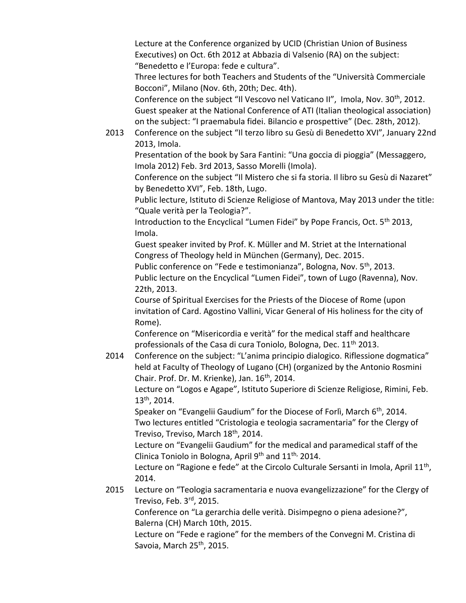Lecture at the Conference organized by UCID (Christian Union of Business Executives) on Oct. 6th 2012 at Abbazia di Valsenio (RA) on the subject: "Benedetto e l'Europa: fede e cultura".

Three lectures for both Teachers and Students of the "Università Commerciale Bocconi", Milano (Nov. 6th, 20th; Dec. 4th).

Conference on the subject "Il Vescovo nel Vaticano II", Imola, Nov. 30<sup>th</sup>, 2012. Guest speaker at the National Conference of ATI (Italian theological association) on the subject: "I praemabula fidei. Bilancio e prospettive" (Dec. 28th, 2012).

2013 Conference on the subject "Il terzo libro su Gesù di Benedetto XVI", January 22nd 2013, Imola.

Presentation of the book by Sara Fantini: "Una goccia di pioggia" (Messaggero, Imola 2012) Feb. 3rd 2013, Sasso Morelli (Imola).

Conference on the subject "Il Mistero che si fa storia. Il libro su Gesù di Nazaret" by Benedetto XVI", Feb. 18th, Lugo.

Public lecture, Istituto di Scienze Religiose of Mantova, May 2013 under the title: "Quale verità per la Teologia?".

Introduction to the Encyclical "Lumen Fidei" by Pope Francis, Oct. 5<sup>th</sup> 2013, Imola.

Guest speaker invited by Prof. K. Müller and M. Striet at the International Congress of Theology held in München (Germany), Dec. 2015.

Public conference on "Fede e testimonianza", Bologna, Nov. 5<sup>th</sup>, 2013. Public lecture on the Encyclical "Lumen Fidei", town of Lugo (Ravenna), Nov. 22th, 2013.

Course of Spiritual Exercises for the Priests of the Diocese of Rome (upon invitation of Card. Agostino Vallini, Vicar General of His holiness for the city of Rome).

Conference on "Misericordia e verità" for the medical staff and healthcare professionals of the Casa di cura Toniolo, Bologna, Dec. 11<sup>th</sup> 2013.

2014 Conference on the subject: "L'anima principio dialogico. Riflessione dogmatica" held at Faculty of Theology of Lugano (CH) (organized by the Antonio Rosmini Chair. Prof. Dr. M. Krienke), Jan. 16<sup>th</sup>, 2014.

Lecture on "Logos e Agape", Istituto Superiore di Scienze Religiose, Rimini, Feb. 13th , 2014.

Speaker on "Evangelii Gaudium" for the Diocese of Forlì, March 6<sup>th</sup>, 2014. Two lectures entitled "Cristologia e teologia sacramentaria" for the Clergy of Treviso, Treviso, March 18<sup>th</sup>, 2014.

Lecture on "Evangelii Gaudium" for the medical and paramedical staff of the Clinica Toniolo in Bologna, April  $9<sup>th</sup>$  and  $11<sup>th</sup>$ , 2014.

Lecture on "Ragione e fede" at the Circolo Culturale Sersanti in Imola, April 11<sup>th</sup>, 2014.

2015 Lecture on "Teologia sacramentaria e nuova evangelizzazione" for the Clergy of Treviso, Feb. 3<sup>rd</sup>, 2015.

Conference on "La gerarchia delle verità. Disimpegno o piena adesione?", Balerna (CH) March 10th, 2015.

Lecture on "Fede e ragione" for the members of the Convegni M. Cristina di Savoia, March 25<sup>th</sup>, 2015.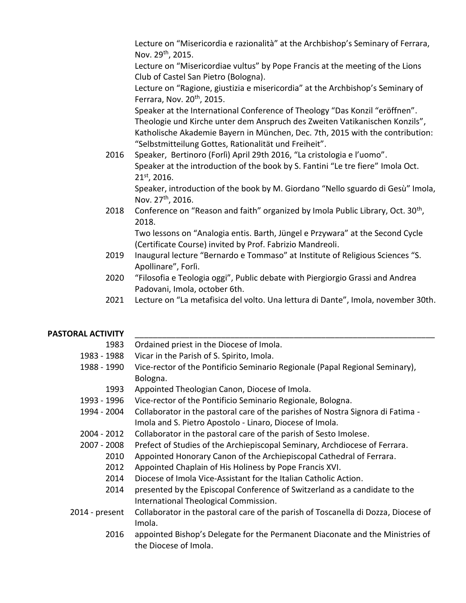Lecture on "Misericordia e razionalità" at the Archbishop's Seminary of Ferrara, Nov. 29<sup>th</sup>, 2015.

Lecture on "Misericordiae vultus" by Pope Francis at the meeting of the Lions Club of Castel San Pietro (Bologna).

Lecture on "Ragione, giustizia e misericordia" at the Archbishop's Seminary of Ferrara, Nov. 20<sup>th</sup>, 2015.

Speaker at the International Conference of Theology "Das Konzil "eröffnen". Theologie und Kirche unter dem Anspruch des Zweiten Vatikanischen Konzils", Katholische Akademie Bayern in München, Dec. 7th, 2015 with the contribution: "Selbstmitteilung Gottes, Rationalität und Freiheit".

2016 Speaker, Bertinoro (Forlì) April 29th 2016, "La cristologia e l'uomo". Speaker at the introduction of the book by S. Fantini "Le tre fiere" Imola Oct. 21st , 2016.

Speaker, introduction of the book by M. Giordano "Nello sguardo di Gesù" Imola, Nov. 27<sup>th</sup>, 2016.

2018 Conference on "Reason and faith" organized by Imola Public Library, Oct. 30<sup>th</sup>, 2018.

Two lessons on "Analogia entis. Barth, Jüngel e Przywara" at the Second Cycle (Certificate Course) invited by Prof. Fabrizio Mandreoli.

- 2019 Inaugural lecture "Bernardo e Tommaso" at Institute of Religious Sciences "S. Apollinare", Forlì.
- 2020 "Filosofia e Teologia oggi", Public debate with Piergiorgio Grassi and Andrea Padovani, Imola, october 6th.
- 2021 Lecture on "La metafisica del volto. Una lettura di Dante", Imola, november 30th.

## PASTORAL ACTIVITY

| 1983           | Ordained priest in the Diocese of Imola.                                           |
|----------------|------------------------------------------------------------------------------------|
| 1983 - 1988    | Vicar in the Parish of S. Spirito, Imola.                                          |
| 1988 - 1990    | Vice-rector of the Pontificio Seminario Regionale (Papal Regional Seminary),       |
|                | Bologna.                                                                           |
| 1993           | Appointed Theologian Canon, Diocese of Imola.                                      |
| 1993 - 1996    | Vice-rector of the Pontificio Seminario Regionale, Bologna.                        |
| 1994 - 2004    | Collaborator in the pastoral care of the parishes of Nostra Signora di Fatima -    |
|                | Imola and S. Pietro Apostolo - Linaro, Diocese of Imola.                           |
| 2004 - 2012    | Collaborator in the pastoral care of the parish of Sesto Imolese.                  |
| 2007 - 2008    | Prefect of Studies of the Archiepiscopal Seminary, Archdiocese of Ferrara.         |
| 2010           | Appointed Honorary Canon of the Archiepiscopal Cathedral of Ferrara.               |
| 2012           | Appointed Chaplain of His Holiness by Pope Francis XVI.                            |
| 2014           | Diocese of Imola Vice-Assistant for the Italian Catholic Action.                   |
| 2014           | presented by the Episcopal Conference of Switzerland as a candidate to the         |
|                | International Theological Commission.                                              |
| 2014 - present | Collaborator in the pastoral care of the parish of Toscanella di Dozza, Diocese of |
|                | Imola.                                                                             |
| 2016           | appointed Bishop's Delegate for the Permanent Diaconate and the Ministries of      |

the Diocese of Imola.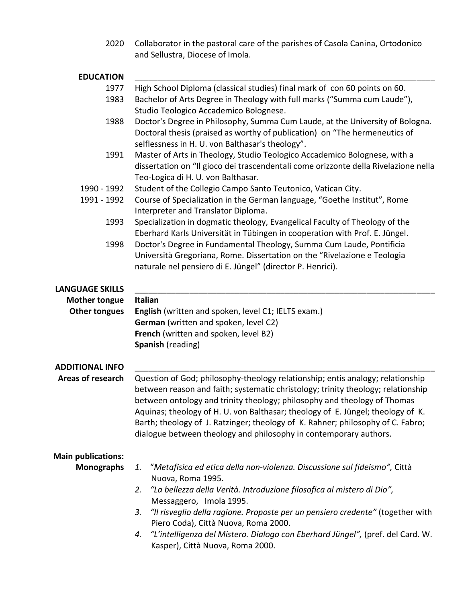2020 Collaborator in the pastoral care of the parishes of Casola Canina, Ortodonico and Sellustra, Diocese of Imola.

| <b>EDUCATION</b>                               |                                                                                                                                                                                                                                                                                                                                                                                                                                                                                           |  |
|------------------------------------------------|-------------------------------------------------------------------------------------------------------------------------------------------------------------------------------------------------------------------------------------------------------------------------------------------------------------------------------------------------------------------------------------------------------------------------------------------------------------------------------------------|--|
| 1977                                           | High School Diploma (classical studies) final mark of con 60 points on 60.                                                                                                                                                                                                                                                                                                                                                                                                                |  |
| 1983                                           | Bachelor of Arts Degree in Theology with full marks ("Summa cum Laude"),<br>Studio Teologico Accademico Bolognese.                                                                                                                                                                                                                                                                                                                                                                        |  |
| 1988                                           | Doctor's Degree in Philosophy, Summa Cum Laude, at the University of Bologna.                                                                                                                                                                                                                                                                                                                                                                                                             |  |
|                                                | Doctoral thesis (praised as worthy of publication) on "The hermeneutics of                                                                                                                                                                                                                                                                                                                                                                                                                |  |
|                                                | selflessness in H. U. von Balthasar's theology".                                                                                                                                                                                                                                                                                                                                                                                                                                          |  |
| 1991                                           | Master of Arts in Theology, Studio Teologico Accademico Bolognese, with a                                                                                                                                                                                                                                                                                                                                                                                                                 |  |
|                                                | dissertation on "Il gioco dei trascendentali come orizzonte della Rivelazione nella                                                                                                                                                                                                                                                                                                                                                                                                       |  |
|                                                | Teo-Logica di H. U. von Balthasar.                                                                                                                                                                                                                                                                                                                                                                                                                                                        |  |
| 1990 - 1992<br>1991 - 1992                     | Student of the Collegio Campo Santo Teutonico, Vatican City.                                                                                                                                                                                                                                                                                                                                                                                                                              |  |
|                                                | Course of Specialization in the German language, "Goethe Institut", Rome<br>Interpreter and Translator Diploma.                                                                                                                                                                                                                                                                                                                                                                           |  |
| 1993                                           | Specialization in dogmatic theology, Evangelical Faculty of Theology of the                                                                                                                                                                                                                                                                                                                                                                                                               |  |
|                                                | Eberhard Karls Universität in Tübingen in cooperation with Prof. E. Jüngel.                                                                                                                                                                                                                                                                                                                                                                                                               |  |
| 1998                                           | Doctor's Degree in Fundamental Theology, Summa Cum Laude, Pontificia                                                                                                                                                                                                                                                                                                                                                                                                                      |  |
|                                                | Università Gregoriana, Rome. Dissertation on the "Rivelazione e Teologia                                                                                                                                                                                                                                                                                                                                                                                                                  |  |
|                                                | naturale nel pensiero di E. Jüngel" (director P. Henrici).                                                                                                                                                                                                                                                                                                                                                                                                                                |  |
|                                                |                                                                                                                                                                                                                                                                                                                                                                                                                                                                                           |  |
| <b>LANGUAGE SKILLS</b><br><b>Mother tongue</b> | <b>Italian</b>                                                                                                                                                                                                                                                                                                                                                                                                                                                                            |  |
| <b>Other tongues</b>                           | English (written and spoken, level C1; IELTS exam.)                                                                                                                                                                                                                                                                                                                                                                                                                                       |  |
|                                                | German (written and spoken, level C2)                                                                                                                                                                                                                                                                                                                                                                                                                                                     |  |
|                                                | French (written and spoken, level B2)                                                                                                                                                                                                                                                                                                                                                                                                                                                     |  |
|                                                | Spanish (reading)                                                                                                                                                                                                                                                                                                                                                                                                                                                                         |  |
|                                                |                                                                                                                                                                                                                                                                                                                                                                                                                                                                                           |  |
| <b>ADDITIONAL INFO</b>                         |                                                                                                                                                                                                                                                                                                                                                                                                                                                                                           |  |
| Areas of research                              | Question of God; philosophy-theology relationship; entis analogy; relationship<br>between reason and faith; systematic christology; trinity theology; relationship<br>between ontology and trinity theology; philosophy and theology of Thomas<br>Aquinas; theology of H. U. von Balthasar; theology of E. Jüngel; theology of K.<br>Barth; theology of J. Ratzinger; theology of K. Rahner; philosophy of C. Fabro;<br>dialogue between theology and philosophy in contemporary authors. |  |
| <b>Main publications:</b>                      |                                                                                                                                                                                                                                                                                                                                                                                                                                                                                           |  |
| <b>Monographs</b>                              | "Metafisica ed etica della non-violenza. Discussione sul fideismo", Città<br>1.                                                                                                                                                                                                                                                                                                                                                                                                           |  |
|                                                | Nuova, Roma 1995.                                                                                                                                                                                                                                                                                                                                                                                                                                                                         |  |
|                                                | 2. "La bellezza della Verità. Introduzione filosofica al mistero di Dio",                                                                                                                                                                                                                                                                                                                                                                                                                 |  |
|                                                | Messaggero, Imola 1995.<br>3.                                                                                                                                                                                                                                                                                                                                                                                                                                                             |  |
|                                                | "Il risveglio della ragione. Proposte per un pensiero credente" (together with<br>Piero Coda), Città Nuova, Roma 2000.                                                                                                                                                                                                                                                                                                                                                                    |  |
|                                                | "L'intelligenza del Mistero. Dialogo con Eberhard Jüngel", (pref. del Card. W.<br>4.                                                                                                                                                                                                                                                                                                                                                                                                      |  |
|                                                | Kasper), Città Nuova, Roma 2000.                                                                                                                                                                                                                                                                                                                                                                                                                                                          |  |
|                                                |                                                                                                                                                                                                                                                                                                                                                                                                                                                                                           |  |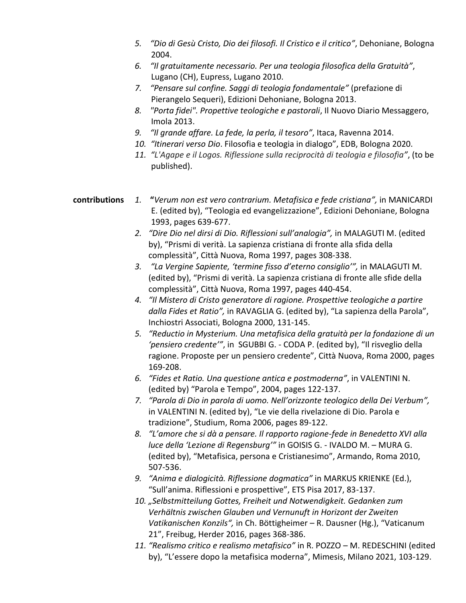- *5. "Dio di Gesù Cristo, Dio dei filosofi. Il Cristico e il critico"*, Dehoniane, Bologna 2004.
- *6. "Il gratuitamente necessario. Per una teologia filosofica della Gratuità"*, Lugano (CH), Eupress, Lugano 2010.
- *7. "Pensare sul confine. Saggi di teologia fondamentale"* (prefazione di Pierangelo Sequeri), Edizioni Dehoniane, Bologna 2013.
- *8. "Porta fidei". Propettive teologiche e pastorali*, Il Nuovo Diario Messaggero, Imola 2013.
- *9. "Il grande affare. La fede, la perla, il tesoro"*, Itaca, Ravenna 2014.
- *10. "Itinerari verso Dio*. Filosofia e teologia in dialogo", EDB, Bologna 2020.
- *11. "L'Agape e il Logos. Riflessione sulla reciprocità di teologia e filosofia"*, (to be published).

## **contributions** *1.* **"***Verum non est vero contrarium. Metafisica e fede cristiana",* in MANICARDI E. (edited by), "Teologia ed evangelizzazione", Edizioni Dehoniane, Bologna 1993, pages 639-677.

- *2. "Dire Dio nel dirsi di Dio. Riflessioni sull'analogia",* in MALAGUTI M. (edited by), "Prismi di verità. La sapienza cristiana di fronte alla sfida della complessità", Città Nuova, Roma 1997, pages 308-338.
- *3. "La Vergine Sapiente, 'termine fisso d'eterno consiglio'",* in MALAGUTI M. (edited by), "Prismi di verità. La sapienza cristiana di fronte alle sfide della complessità", Città Nuova, Roma 1997, pages 440-454.
- *4. "Il Mistero di Cristo generatore di ragione. Prospettive teologiche a partire dalla Fides et Ratio",* in RAVAGLIA G. (edited by), "La sapienza della Parola", Inchiostri Associati, Bologna 2000, 131-145.
- *5. "Reductio in Mysterium. Una metafisica della gratuità per la fondazione di un 'pensiero credente'"*, in SGUBBI G. - CODA P. (edited by), "Il risveglio della ragione. Proposte per un pensiero credente", Città Nuova, Roma 2000, pages 169-208.
- *6. "Fides et Ratio. Una questione antica e postmoderna"*, in VALENTINI N. (edited by) "Parola e Tempo", 2004, pages 122-137.
- *7. "Parola di Dio in parola di uomo. Nell'orizzonte teologico della Dei Verbum",*  in VALENTINI N. (edited by), "Le vie della rivelazione di Dio. Parola e tradizione", Studium, Roma 2006, pages 89-122.
- *8. "L'amore che si dà a pensare. Il rapporto ragione-fede in Benedetto XVI alla luce della 'Lezione di Regensburg'"* in GOISIS G. - IVALDO M. – MURA G. (edited by), "Metafisica, persona e Cristianesimo", Armando, Roma 2010, 507-536.
- *9. "Anima e dialogicità. Riflessione dogmatica"* in MARKUS KRIENKE (Ed.), "Sull'anima. Riflessioni e prospettive", ETS Pisa 2017, 83-137.
- *10. "Selbstmitteilung Gottes, Freiheit und Notwendigkeit. Gedanken zum Verhältnis zwischen Glauben und Vernunuft in Horizont der Zweiten Vatikanischen Konzils",* in Ch. Böttigheimer – R. Dausner (Hg.), "Vaticanum 21", Freibug, Herder 2016, pages 368-386.
- *11. "Realismo critico e realismo metafisico"* in R. POZZO M. REDESCHINI (edited by), "L'essere dopo la metafisica moderna", Mimesis, Milano 2021, 103-129.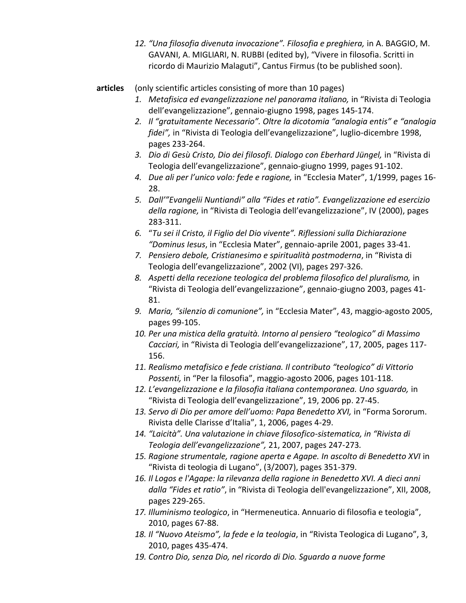- *12. "Una filosofia divenuta invocazione". Filosofia e preghiera,* in A. BAGGIO, M. GAVANI, A. MIGLIARI, N. RUBBI (edited by), "Vivere in filosofia. Scritti in ricordo di Maurizio Malaguti", Cantus Firmus (to be published soon).
- **articles** (only scientific articles consisting of more than 10 pages)
	- *1. Metafisica ed evangelizzazione nel panorama italiano,* in "Rivista di Teologia dell'evangelizzazione", gennaio-giugno 1998, pages 145-174.
	- *2. Il "gratuitamente Necessario". Oltre la dicotomia "analogia entis" e "analogia fidei",* in "Rivista di Teologia dell'evangelizzazione", luglio-dicembre 1998, pages 233-264.
	- *3. Dio di Gesù Cristo, Dio dei filosofi. Dialogo con Eberhard Jüngel,* in "Rivista di Teologia dell'evangelizzazione", gennaio-giugno 1999, pages 91-102.
	- *4. Due ali per l'unico volo: fede e ragione,* in "Ecclesia Mater", 1/1999, pages 16- 28.
	- *5. Dall'"Evangelii Nuntiandi" alla "Fides et ratio". Evangelizzazione ed esercizio della ragione,* in "Rivista di Teologia dell'evangelizzazione", IV (2000), pages 283-311.
	- *6.* "*Tu sei il Cristo, il Figlio del Dio vivente". Riflessioni sulla Dichiarazione "Dominus Iesus*, in "Ecclesia Mater", gennaio-aprile 2001, pages 33-41.
	- *7. Pensiero debole, Cristianesimo e spiritualità postmoderna*, in "Rivista di Teologia dell'evangelizzazione", 2002 (VI), pages 297-326.
	- *8. Aspetti della recezione teologica del problema filosofico del pluralismo,* in "Rivista di Teologia dell'evangelizzazione", gennaio-giugno 2003, pages 41- 81.
	- *9. Maria, "silenzio di comunione",* in "Ecclesia Mater", 43, maggio-agosto 2005, pages 99-105.
	- *10. Per una mistica della gratuità. Intorno al pensiero "teologico" di Massimo Cacciari,* in "Rivista di Teologia dell'evangelizzazione", 17, 2005, pages 117- 156.
	- *11. Realismo metafisico e fede cristiana. Il contributo "teologico" di Vittorio Possenti,* in "Per la filosofia", maggio-agosto 2006, pages 101-118.
	- *12. L'evangelizzazione e la filosofia italiana contemporanea. Uno sguardo,* in "Rivista di Teologia dell'evangelizzazione", 19, 2006 pp. 27-45.
	- *13. Servo di Dio per amore dell'uomo: Papa Benedetto XVI,* in "Forma Sororum. Rivista delle Clarisse d'Italia", 1, 2006, pages 4-29.
	- *14. "Laicità". Una valutazione in chiave filosofico-sistematica, in "Rivista di Teologia dell'evangelizzazione",* 21, 2007, pages 247-273*.*
	- *15. Ragione strumentale, ragione aperta e Agape. In ascolto di Benedetto XVI* in "Rivista di teologia di Lugano", (3/2007), pages 351-379.
	- *16. Il Logos e l'Agape: la rilevanza della ragione in Benedetto XVI. A dieci anni dalla "Fides et ratio"*, in "Rivista di Teologia dell'evangelizzazione", XII, 2008, pages 229-265.
	- *17. Illuminismo teologico*, in "Hermeneutica. Annuario di filosofia e teologia", 2010, pages 67-88.
	- *18. Il "Nuovo Ateismo", la fede e la teologia*, in "Rivista Teologica di Lugano", 3, 2010, pages 435-474.
	- *19. Contro Dio, senza Dio, nel ricordo di Dio. Sguardo a nuove forme*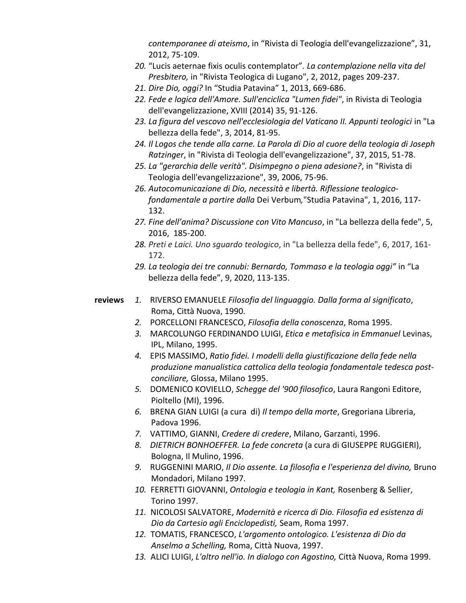*contemporanee di ateismo*, in "Rivista di Teologia dell'evangelizzazione", 31, 2012, 75-109.

- *20.* "Lucis aeternae fixis oculis contemplator"*. La contemplazione nella vita del Presbitero,* in "Rivista Teologica di Lugano", 2, 2012, pages 209-237.
- *21. Dire Dio, oggi?* In "Studia Patavina" 1, 2013, 669-686.
- *22. Fede e logica dell'Amore. Sull'enciclica "Lumen fidei"*, in Rivista di Teologia dell'evangelizzazione, XVIII (2014) 35, 91-126.
- *23. La figura del vescovo nell'ecclesiologia del Vaticano II. Appunti teologici* in "La bellezza della fede", 3, 2014, 81-95.
- *24. Il Logos che tende alla carne. La Parola di Dio al cuore della teologia di Joseph Ratzinger*, in "Rivista di Teologia dell'evangelizzazione", 37, 2015, 51-78.
- *25. La "gerarchia delle verità". Disimpegno o piena adesione?*, in "Rivista di Teologia dell'evangelizzazione", 39, 2006, 75-96.
- *26. Autocomunicazione di Dio, necessità e libertà. Riflessione teologicofondamentale a partire dalla* Dei Verbum*,*"Studia Patavina", 1, 2016, 117- 132.
- *27. Fine dell'anima? Discussione con Vito Mancuso*, in "La bellezza della fede", 5, 2016, 185-200.
- *28. Preti e Laici. Uno sguardo teologico*, in "La bellezza della fede", 6, 2017, 161- 172.
- *29. La teologia dei tre connubi: Bernardo, Tommaso e la teologia oggi"* in "La bellezza della fede", 9, 2020, 113-135.
- **reviews** *1.* RIVERSO EMANUELE *Filosofia del linguaggio. Dalla forma al significato*, Roma, Città Nuova, 1990.
	- *2.* PORCELLONI FRANCESCO, *Filosofia della conoscenza*, Roma 1995.
	- *3.* MARCOLUNGO FERDINANDO LUIGI, *Etica e metafisica in Emmanuel* Levinas, IPL, Milano, 1995.
	- *4.* EPIS MASSIMO, *Ratio fidei. I modelli della giustificazione della fede nella produzione manualistica cattolica della teologia fondamentale tedesca postconciliare,* Glossa, Milano 1995.
	- *5.* DOMENICO KOVIELLO, *Schegge del '900 filosofico*, Laura Rangoni Editore, Pioltello (MI), 1996.
	- *6.* BRENA GIAN LUIGI (a cura di) *Il tempo della morte*, Gregoriana Libreria, Padova 1996.
	- *7.* VATTIMO, GIANNI, *Credere di credere*, Milano, Garzanti, 1996.
	- *8. DIETRICH BONHOEFFER. La fede concreta* (a cura di GIUSEPPE RUGGIERI), Bologna, Il Mulino, 1996.
	- *9.* RUGGENINI MARIO, *Il Dio assente. La filosofia e l'esperienza del divino,* Bruno Mondadori, Milano 1997.
	- *10.* FERRETTI GIOVANNI, *Ontologia e teologia in Kant,* Rosenberg & Sellier, Torino 1997.
	- *11.* NICOLOSI SALVATORE, *Modernità e ricerca di Dio. Filosofia ed esistenza di Dio da Cartesio agli Enciclopedisti,* Seam, Roma 1997.
	- *12.* TOMATIS, FRANCESCO, *L'argomento ontologico. L'esistenza di Dio da Anselmo a Schelling,* Roma, Città Nuova, 1997.
	- *13.* ALICI LUIGI, *L'altro nell'io. In dialogo con Agostino,* Città Nuova, Roma 1999.